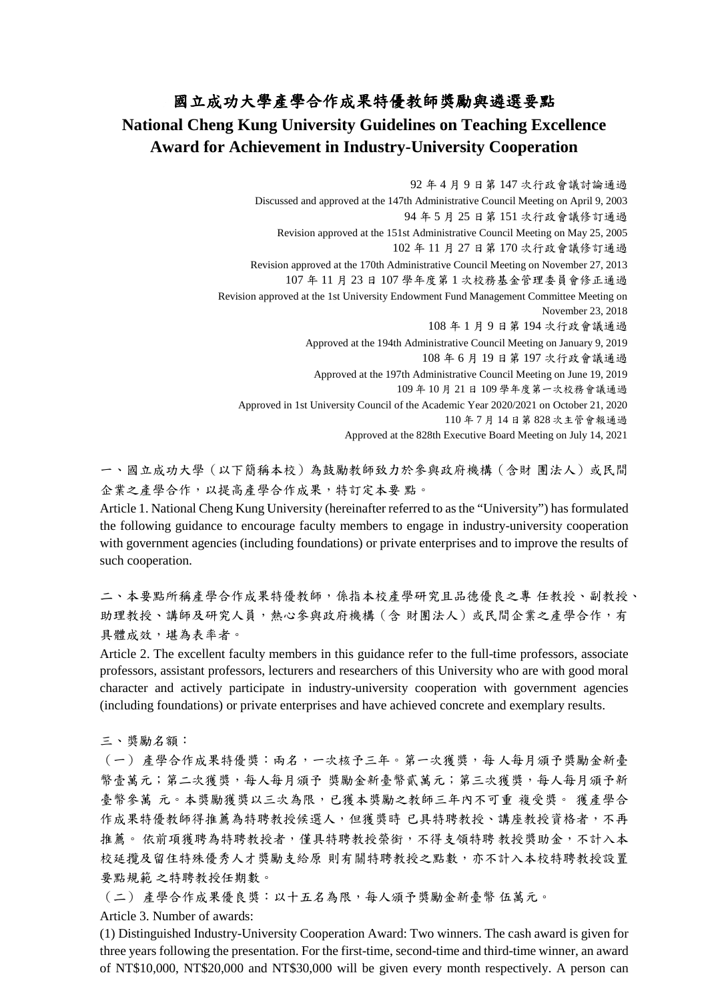## 國立成功大學產學合作成果特優教師獎勵與遴選要點 **National Cheng Kung University Guidelines on Teaching Excellence Award for Achievement in Industry-University Cooperation**

92 年 4 月 9 日第 147 次行政會議討論通過 Discussed and approved at the 147th Administrative Council Meeting on April 9, 2003 94 年 5 月 25 日第 151 次行政會議修訂通過 Revision approved at the 151st Administrative Council Meeting on May 25, 2005 102 年 11 月 27 日第 170 次行政會議修訂通過 Revision approved at the 170th Administrative Council Meeting on November 27, 2013 107 年 11 月 23 日 107 學年度第 1 次校務基金管理委員會修正通過 Revision approved at the 1st University Endowment Fund Management Committee Meeting on November 23, 2018 108 年 1 月 9 日第 194 次行政會議通過 Approved at the 194th Administrative Council Meeting on January 9, 2019 108 年 6 月 19 日第 197 次行政會議通過 Approved at the 197th Administrative Council Meeting on June 19, 2019 109 年 10 月 21 日 109 學年度第一次校務會議通過 Approved in 1st University Council of the Academic Year 2020/2021 on October 21, 2020 110 年 7 月 14 日第 828 次主管會報通過 Approved at the 828th Executive Board Meeting on July 14, 2021

一、國立成功大學(以下簡稱本校)為鼓勵教師致力於參與政府機構(含財 團法人)或民間 企業之產學合作,以提高產學合作成果,特訂定本要 點。

Article 1. National Cheng Kung University (hereinafter referred to as the "University") has formulated the following guidance to encourage faculty members to engage in industry-university cooperation with government agencies (including foundations) or private enterprises and to improve the results of such cooperation.

二、本要點所稱產學合作成果特優教師,係指本校產學研究且品德優良之專 任教授、副教授、 助理教授、講師及研究人員,熱心參與政府機構(含財團法人)或民間企業之產學合作,有 具體成效,堪為表率者。

Article 2. The excellent faculty members in this guidance refer to the full-time professors, associate professors, assistant professors, lecturers and researchers of this University who are with good moral character and actively participate in industry-university cooperation with government agencies (including foundations) or private enterprises and have achieved concrete and exemplary results.

三、獎勵名額:

(一) 產學合作成果特優獎:兩名,一次核予三年。第一次獲獎,每 人每月頒予獎勵金新臺 幣壹萬元;第二次獲獎,每人每月頒予 獎勵金新臺幣貳萬元;第三次獲獎,每人每月頒予新 臺幣參萬 元。本獎勵獲獎以三次為限,已獲本獎勵之教師三年內不可重 複受獎。 獲產學合 作成果特優教師得推薦為特聘教授候選人,但獲獎時已具特聘教授、講座教授資格者,不再 推薦。依前項獲聘為特聘教授者,僅具特聘教授榮銜,不得支領特聘教授獎助金,不計入本 校延攬及留住特殊優秀人才獎勵支給原 則有關特聘教授之點數,亦不計入本校特聘教授設置 要點規範 之特聘教授任期數。

(二) 產學合作成果優良獎:以十五名為限,每人頒予獎勵金新臺幣 伍萬元。

Article 3. Number of awards:

(1) Distinguished Industry-University Cooperation Award: Two winners. The cash award is given for three years following the presentation. For the first-time, second-time and third-time winner, an award of NT\$10,000, NT\$20,000 and NT\$30,000 will be given every month respectively. A person can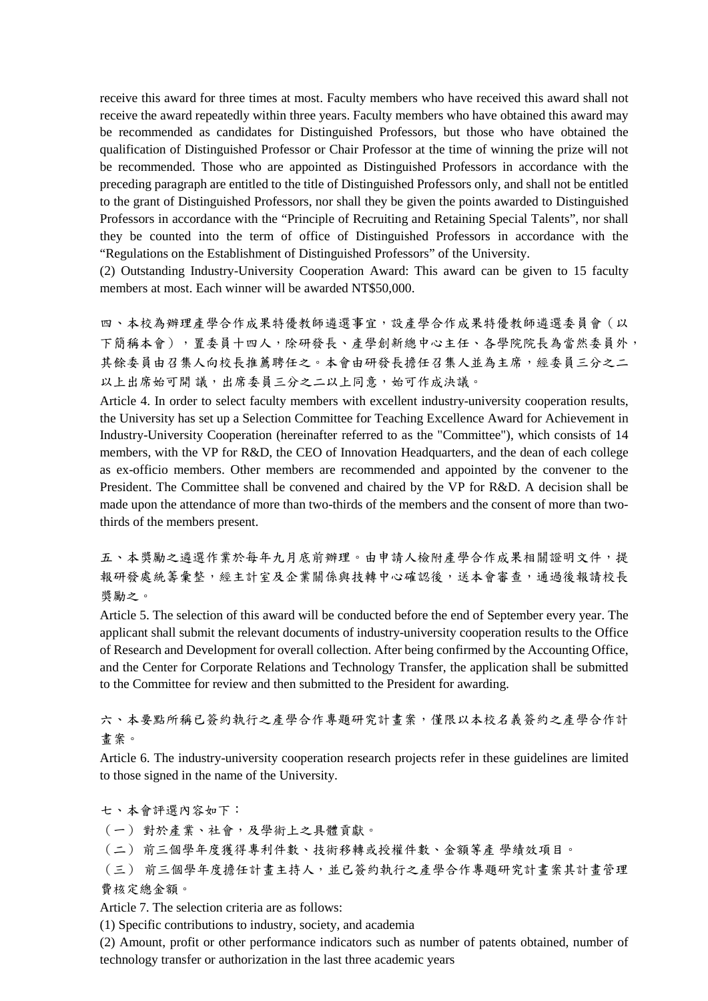receive this award for three times at most. Faculty members who have received this award shall not receive the award repeatedly within three years. Faculty members who have obtained this award may be recommended as candidates for Distinguished Professors, but those who have obtained the qualification of Distinguished Professor or Chair Professor at the time of winning the prize will not be recommended. Those who are appointed as Distinguished Professors in accordance with the preceding paragraph are entitled to the title of Distinguished Professors only, and shall not be entitled to the grant of Distinguished Professors, nor shall they be given the points awarded to Distinguished Professors in accordance with the "Principle of Recruiting and Retaining Special Talents", nor shall they be counted into the term of office of Distinguished Professors in accordance with the "Regulations on the Establishment of Distinguished Professors" of the University.

(2) Outstanding Industry-University Cooperation Award: This award can be given to 15 faculty members at most. Each winner will be awarded NT\$50,000.

四、本校為辦理產學合作成果特優教師遴選事宜,設產學合作成果特優教師遴選委員會(以 下簡稱本會),置委員十四人,除研發長、產學創新總中心主任、各學院院長為當然委員外, 其餘委員由召集人向校長推薦聘任之。本會由研發長擔任召集人並為主席,經委員三分之二 以上出席始可開議,出席委員三分之二以上同意,始可作成決議。

Article 4. In order to select faculty members with excellent industry-university cooperation results, the University has set up a Selection Committee for Teaching Excellence Award for Achievement in Industry-University Cooperation (hereinafter referred to as the "Committee"), which consists of 14 members, with the VP for R&D, the CEO of Innovation Headquarters, and the dean of each college as ex-officio members. Other members are recommended and appointed by the convener to the President. The Committee shall be convened and chaired by the VP for R&D. A decision shall be made upon the attendance of more than two-thirds of the members and the consent of more than twothirds of the members present.

五、本獎勵之遴選作業於每年九月底前辦理。由申請人檢附產學合作成果相關證明文件,提 報研發處統籌彙整,經主計室及企業關係與技轉中心確認後,送本會審查,通過後報請校長 獎勵之。

Article 5. The selection of this award will be conducted before the end of September every year. The applicant shall submit the relevant documents of industry-university cooperation results to the Office of Research and Development for overall collection. After being confirmed by the Accounting Office, and the Center for Corporate Relations and Technology Transfer, the application shall be submitted to the Committee for review and then submitted to the President for awarding.

六、本要點所稱已簽約執行之產學合作專題研究計畫案,僅限以本校名義簽約之產學合作計 畫案。

Article 6. The industry-university cooperation research projects refer in these guidelines are limited to those signed in the name of the University.

七、本會評選內容如下:

(一) 對於產業、社會,及學術上之具體貢獻。

(二) 前三個學年度獲得專利件數、技術移轉或授權件數、金額等產 學績效項目。

(三) 前三個學年度擔任計畫主持人,並已簽約執行之產學合作專題研究計畫案其計畫管理 費核定總金額。

Article 7. The selection criteria are as follows:

(1) Specific contributions to industry, society, and academia

(2) Amount, profit or other performance indicators such as number of patents obtained, number of technology transfer or authorization in the last three academic years